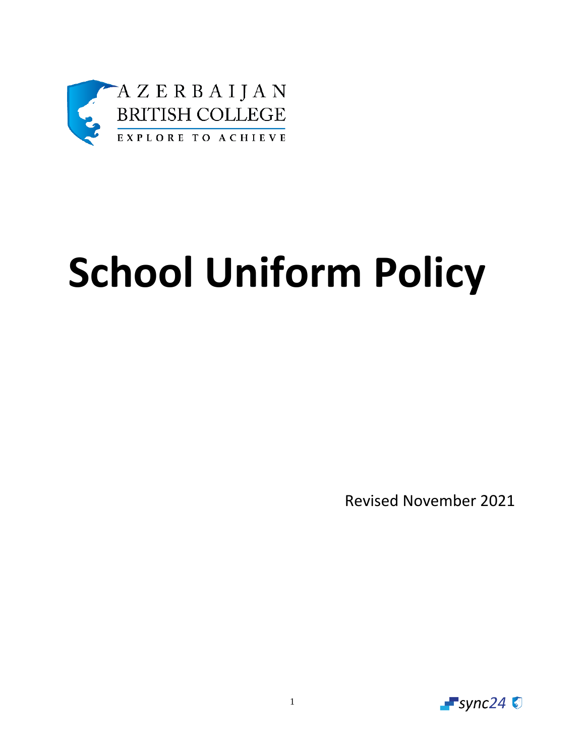

# **School Uniform Policy**

Revised November 2021

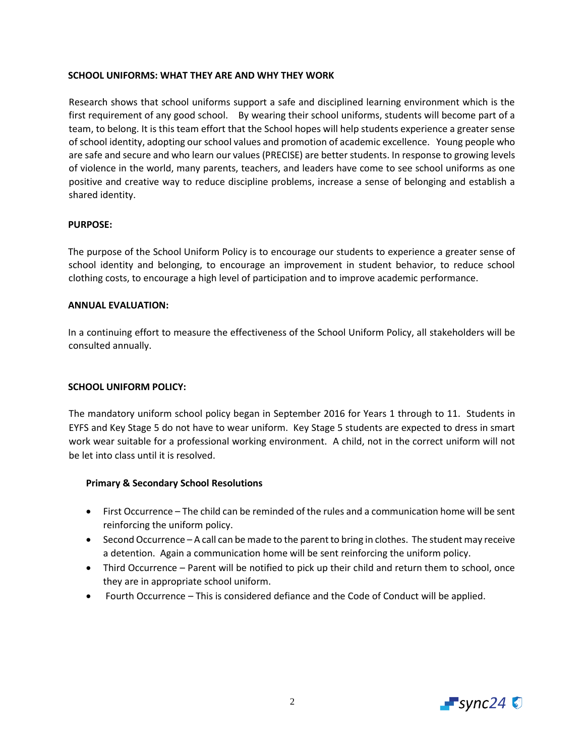# **SCHOOL UNIFORMS: WHAT THEY ARE AND WHY THEY WORK**

Research shows that school uniforms support a safe and disciplined learning environment which is the first requirement of any good school. By wearing their school uniforms, students will become part of a team, to belong. It is this team effort that the School hopes will help students experience a greater sense of school identity, adopting our school values and promotion of academic excellence. Young people who are safe and secure and who learn our values (PRECISE) are better students. In response to growing levels of violence in the world, many parents, teachers, and leaders have come to see school uniforms as one positive and creative way to reduce discipline problems, increase a sense of belonging and establish a shared identity.

# **PURPOSE:**

The purpose of the School Uniform Policy is to encourage our students to experience a greater sense of school identity and belonging, to encourage an improvement in student behavior, to reduce school clothing costs, to encourage a high level of participation and to improve academic performance.

### **ANNUAL EVALUATION:**

In a continuing effort to measure the effectiveness of the School Uniform Policy, all stakeholders will be consulted annually.

# **SCHOOL UNIFORM POLICY:**

The mandatory uniform school policy began in September 2016 for Years 1 through to 11. Students in EYFS and Key Stage 5 do not have to wear uniform. Key Stage 5 students are expected to dress in smart work wear suitable for a professional working environment. A child, not in the correct uniform will not be let into class until it is resolved.

# **Primary & Secondary School Resolutions**

- First Occurrence The child can be reminded of the rules and a communication home will be sent reinforcing the uniform policy.
- Second Occurrence A call can be made to the parent to bring in clothes. The student may receive a detention. Again a communication home will be sent reinforcing the uniform policy.
- Third Occurrence Parent will be notified to pick up their child and return them to school, once they are in appropriate school uniform.
- Fourth Occurrence This is considered defiance and the Code of Conduct will be applied.

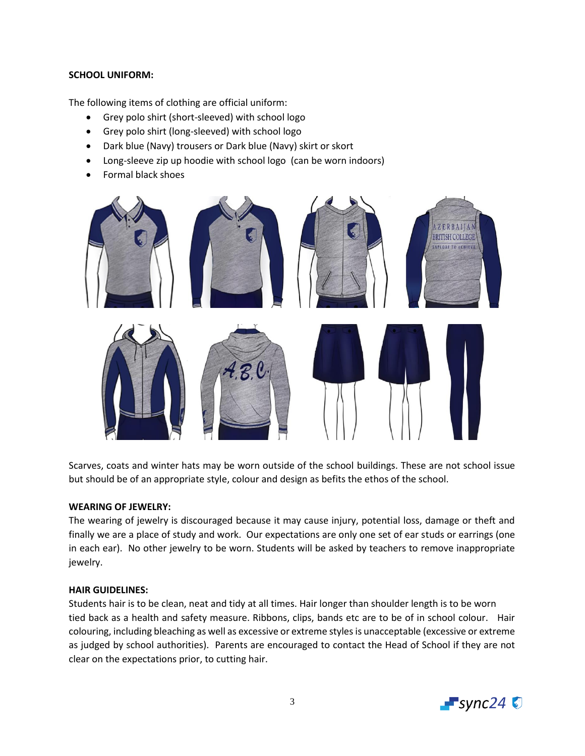# **SCHOOL UNIFORM:**

The following items of clothing are official uniform:

- Grey polo shirt (short-sleeved) with school logo
- Grey polo shirt (long-sleeved) with school logo
- Dark blue (Navy) trousers or Dark blue (Navy) skirt or skort
- Long-sleeve zip up hoodie with school logo (can be worn indoors)
- Formal black shoes



Scarves, coats and winter hats may be worn outside of the school buildings. These are not school issue but should be of an appropriate style, colour and design as befits the ethos of the school.

# **WEARING OF JEWELRY:**

The wearing of jewelry is discouraged because it may cause injury, potential loss, damage or theft and finally we are a place of study and work. Our expectations are only one set of ear studs or earrings (one in each ear). No other jewelry to be worn. Students will be asked by teachers to remove inappropriate jewelry.

# **HAIR GUIDELINES:**

Students hair is to be clean, neat and tidy at all times. Hair longer than shoulder length is to be worn tied back as a health and safety measure. Ribbons, clips, bands etc are to be of in school colour. Hair colouring, including bleaching as well as excessive or extreme styles is unacceptable (excessive or extreme as judged by school authorities). Parents are encouraged to contact the Head of School if they are not clear on the expectations prior, to cutting hair.